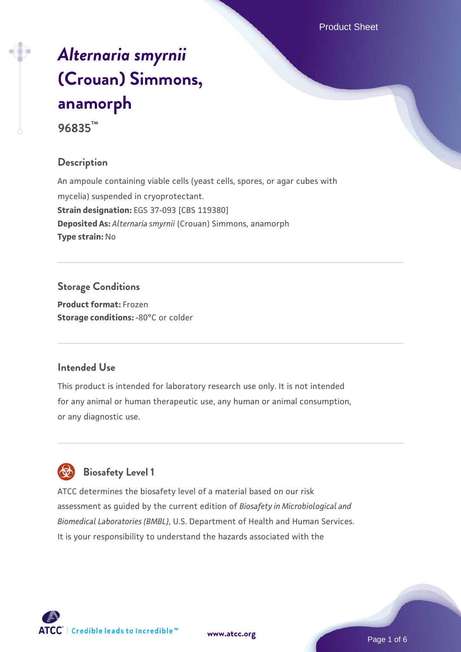# *[Alternaria smyrnii](https://www.atcc.org/products/96835)* **[\(Crouan\) Simmons,](https://www.atcc.org/products/96835) [anamorph](https://www.atcc.org/products/96835)**

**96835™**

## **Description**

An ampoule containing viable cells (yeast cells, spores, or agar cubes with mycelia) suspended in cryoprotectant. **Strain designation:** EGS 37-093 [CBS 119380] **Deposited As:** *Alternaria smyrnii* (Crouan) Simmons, anamorph **Type strain:** No

**Storage Conditions Product format:** Frozen

**Storage conditions: -80°C or colder** 

#### **Intended Use**

This product is intended for laboratory research use only. It is not intended for any animal or human therapeutic use, any human or animal consumption, or any diagnostic use.



# **Biosafety Level 1**

ATCC determines the biosafety level of a material based on our risk assessment as guided by the current edition of *Biosafety in Microbiological and Biomedical Laboratories (BMBL)*, U.S. Department of Health and Human Services. It is your responsibility to understand the hazards associated with the

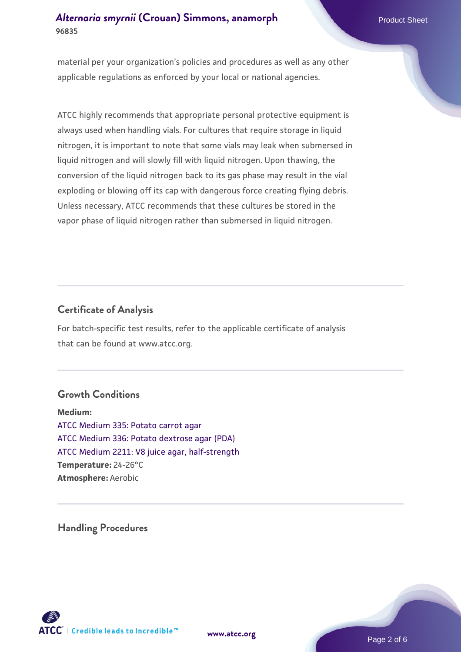material per your organization's policies and procedures as well as any other applicable regulations as enforced by your local or national agencies.

ATCC highly recommends that appropriate personal protective equipment is always used when handling vials. For cultures that require storage in liquid nitrogen, it is important to note that some vials may leak when submersed in liquid nitrogen and will slowly fill with liquid nitrogen. Upon thawing, the conversion of the liquid nitrogen back to its gas phase may result in the vial exploding or blowing off its cap with dangerous force creating flying debris. Unless necessary, ATCC recommends that these cultures be stored in the vapor phase of liquid nitrogen rather than submersed in liquid nitrogen.

#### **Certificate of Analysis**

For batch-specific test results, refer to the applicable certificate of analysis that can be found at www.atcc.org.

#### **Growth Conditions**

**Medium:**  [ATCC Medium 335: Potato carrot agar](https://www.atcc.org/-/media/product-assets/documents/microbial-media-formulations/3/3/5/atcc-medium-335.pdf?rev=a7055ab8b3c54646a9d0bdf7b34c1606) [ATCC Medium 336: Potato dextrose agar \(PDA\)](https://www.atcc.org/-/media/product-assets/documents/microbial-media-formulations/3/3/6/atcc-medium-336.pdf?rev=d9160ad44d934cd8b65175461abbf3b9) [ATCC Medium 2211: V8 juice agar, half-strength](https://www.atcc.org/-/media/product-assets/documents/microbial-media-formulations/2/2/1/1/atcc-medium-2211.pdf?rev=556c7dd2b94b4c8994eb3adffa660619) **Temperature:** 24-26°C **Atmosphere:** Aerobic

**Handling Procedures**



**[www.atcc.org](http://www.atcc.org)**

Page 2 of 6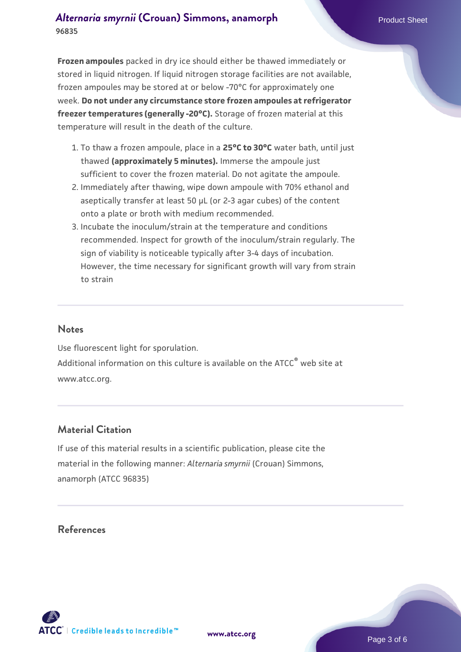**Frozen ampoules** packed in dry ice should either be thawed immediately or stored in liquid nitrogen. If liquid nitrogen storage facilities are not available, frozen ampoules may be stored at or below -70°C for approximately one week. **Do not under any circumstance store frozen ampoules at refrigerator freezer temperatures (generally -20°C).** Storage of frozen material at this temperature will result in the death of the culture.

- 1. To thaw a frozen ampoule, place in a **25°C to 30°C** water bath, until just thawed **(approximately 5 minutes).** Immerse the ampoule just sufficient to cover the frozen material. Do not agitate the ampoule.
- 2. Immediately after thawing, wipe down ampoule with 70% ethanol and aseptically transfer at least 50 µL (or 2-3 agar cubes) of the content onto a plate or broth with medium recommended.
- Incubate the inoculum/strain at the temperature and conditions 3. recommended. Inspect for growth of the inoculum/strain regularly. The sign of viability is noticeable typically after 3-4 days of incubation. However, the time necessary for significant growth will vary from strain to strain

#### **Notes**

Use fluorescent light for sporulation. Additional information on this culture is available on the ATCC<sup>®</sup> web site at www.atcc.org.

#### **Material Citation**

If use of this material results in a scientific publication, please cite the material in the following manner: *Alternaria smyrnii* (Crouan) Simmons, anamorph (ATCC 96835)

#### **References**



**[www.atcc.org](http://www.atcc.org)**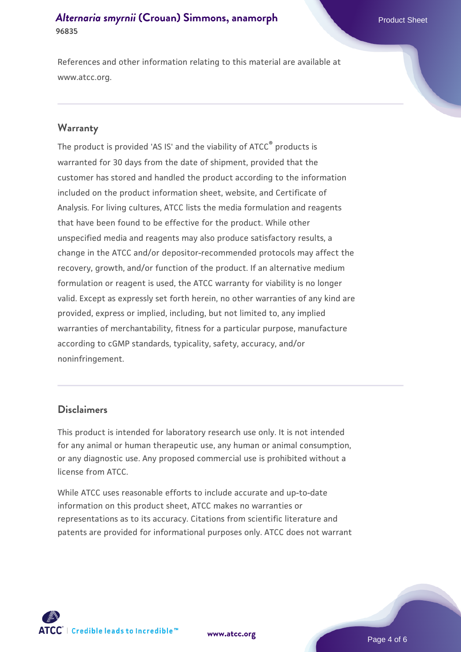References and other information relating to this material are available at www.atcc.org.

#### **Warranty**

The product is provided 'AS IS' and the viability of ATCC® products is warranted for 30 days from the date of shipment, provided that the customer has stored and handled the product according to the information included on the product information sheet, website, and Certificate of Analysis. For living cultures, ATCC lists the media formulation and reagents that have been found to be effective for the product. While other unspecified media and reagents may also produce satisfactory results, a change in the ATCC and/or depositor-recommended protocols may affect the recovery, growth, and/or function of the product. If an alternative medium formulation or reagent is used, the ATCC warranty for viability is no longer valid. Except as expressly set forth herein, no other warranties of any kind are provided, express or implied, including, but not limited to, any implied warranties of merchantability, fitness for a particular purpose, manufacture according to cGMP standards, typicality, safety, accuracy, and/or noninfringement.

#### **Disclaimers**

This product is intended for laboratory research use only. It is not intended for any animal or human therapeutic use, any human or animal consumption, or any diagnostic use. Any proposed commercial use is prohibited without a license from ATCC.

While ATCC uses reasonable efforts to include accurate and up-to-date information on this product sheet, ATCC makes no warranties or representations as to its accuracy. Citations from scientific literature and patents are provided for informational purposes only. ATCC does not warrant



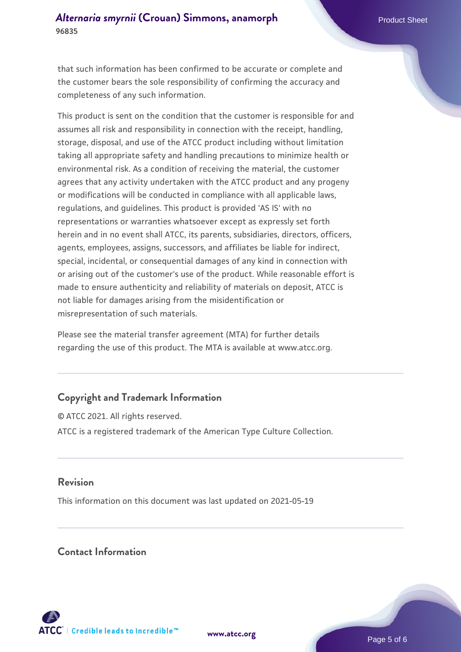that such information has been confirmed to be accurate or complete and the customer bears the sole responsibility of confirming the accuracy and completeness of any such information.

This product is sent on the condition that the customer is responsible for and assumes all risk and responsibility in connection with the receipt, handling, storage, disposal, and use of the ATCC product including without limitation taking all appropriate safety and handling precautions to minimize health or environmental risk. As a condition of receiving the material, the customer agrees that any activity undertaken with the ATCC product and any progeny or modifications will be conducted in compliance with all applicable laws, regulations, and guidelines. This product is provided 'AS IS' with no representations or warranties whatsoever except as expressly set forth herein and in no event shall ATCC, its parents, subsidiaries, directors, officers, agents, employees, assigns, successors, and affiliates be liable for indirect, special, incidental, or consequential damages of any kind in connection with or arising out of the customer's use of the product. While reasonable effort is made to ensure authenticity and reliability of materials on deposit, ATCC is not liable for damages arising from the misidentification or misrepresentation of such materials.

Please see the material transfer agreement (MTA) for further details regarding the use of this product. The MTA is available at www.atcc.org.

### **Copyright and Trademark Information**

© ATCC 2021. All rights reserved. ATCC is a registered trademark of the American Type Culture Collection.

#### **Revision**

This information on this document was last updated on 2021-05-19

#### **Contact Information**



**[www.atcc.org](http://www.atcc.org)**

Page 5 of 6